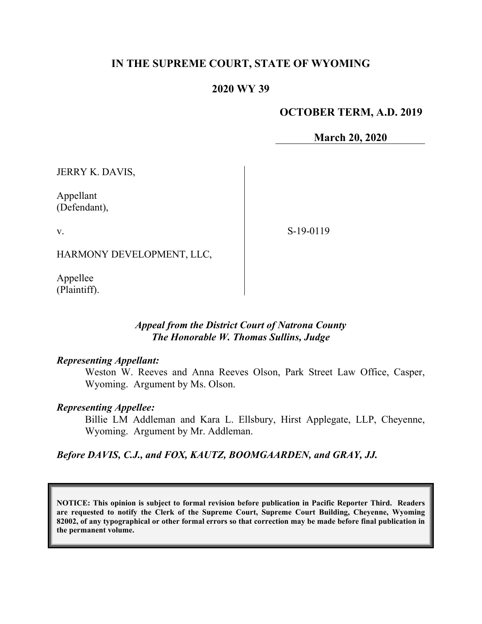## **IN THE SUPREME COURT, STATE OF WYOMING**

## **2020 WY 39**

### **OCTOBER TERM, A.D. 2019**

**March 20, 2020**

JERRY K. DAVIS,

Appellant (Defendant),

v.

S-19-0119

HARMONY DEVELOPMENT, LLC,

Appellee (Plaintiff).

### *Appeal from the District Court of Natrona County The Honorable W. Thomas Sullins, Judge*

#### *Representing Appellant:*

Weston W. Reeves and Anna Reeves Olson, Park Street Law Office, Casper, Wyoming. Argument by Ms. Olson.

#### *Representing Appellee:*

Billie LM Addleman and Kara L. Ellsbury, Hirst Applegate, LLP, Cheyenne, Wyoming. Argument by Mr. Addleman.

*Before DAVIS, C.J., and FOX, KAUTZ, BOOMGAARDEN, and GRAY, JJ.*

**NOTICE: This opinion is subject to formal revision before publication in Pacific Reporter Third. Readers are requested to notify the Clerk of the Supreme Court, Supreme Court Building, Cheyenne, Wyoming 82002, of any typographical or other formal errors so that correction may be made before final publication in the permanent volume.**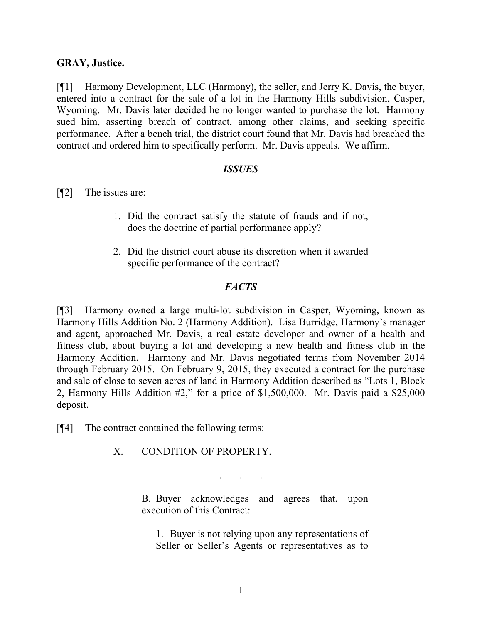#### **GRAY, Justice.**

[¶1] Harmony Development, LLC (Harmony), the seller, and Jerry K. Davis, the buyer, entered into a contract for the sale of a lot in the Harmony Hills subdivision, Casper, Wyoming. Mr. Davis later decided he no longer wanted to purchase the lot. Harmony sued him, asserting breach of contract, among other claims, and seeking specific performance. After a bench trial, the district court found that Mr. Davis had breached the contract and ordered him to specifically perform. Mr. Davis appeals. We affirm.

#### *ISSUES*

[¶2] The issues are:

- 1. Did the contract satisfy the statute of frauds and if not, does the doctrine of partial performance apply?
- 2. Did the district court abuse its discretion when it awarded specific performance of the contract?

#### *FACTS*

[¶3] Harmony owned a large multi-lot subdivision in Casper, Wyoming, known as Harmony Hills Addition No. 2 (Harmony Addition). Lisa Burridge, Harmony's manager and agent, approached Mr. Davis, a real estate developer and owner of a health and fitness club, about buying a lot and developing a new health and fitness club in the Harmony Addition. Harmony and Mr. Davis negotiated terms from November 2014 through February 2015. On February 9, 2015, they executed a contract for the purchase and sale of close to seven acres of land in Harmony Addition described as "Lots 1, Block 2, Harmony Hills Addition #2," for a price of \$1,500,000. Mr. Davis paid a \$25,000 deposit.

[¶4] The contract contained the following terms:

X. CONDITION OF PROPERTY.

. . .

B. Buyer acknowledges and agrees that, upon execution of this Contract:

1. Buyer is not relying upon any representations of Seller or Seller's Agents or representatives as to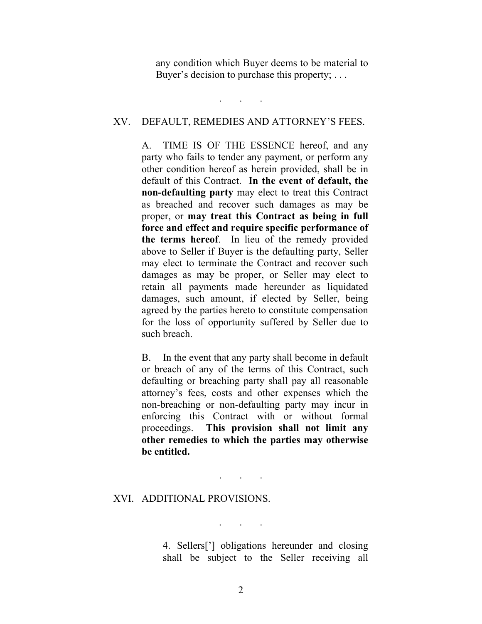any condition which Buyer deems to be material to Buyer's decision to purchase this property; ...

#### XV. DEFAULT, REMEDIES AND ATTORNEY'S FEES.

. . .

A. TIME IS OF THE ESSENCE hereof, and any party who fails to tender any payment, or perform any other condition hereof as herein provided, shall be in default of this Contract. **In the event of default, the non-defaulting party** may elect to treat this Contract as breached and recover such damages as may be proper, or **may treat this Contract as being in full force and effect and require specific performance of the terms hereof**. In lieu of the remedy provided above to Seller if Buyer is the defaulting party, Seller may elect to terminate the Contract and recover such damages as may be proper, or Seller may elect to retain all payments made hereunder as liquidated damages, such amount, if elected by Seller, being agreed by the parties hereto to constitute compensation for the loss of opportunity suffered by Seller due to such breach.

B. In the event that any party shall become in default or breach of any of the terms of this Contract, such defaulting or breaching party shall pay all reasonable attorney's fees, costs and other expenses which the non-breaching or non-defaulting party may incur in enforcing this Contract with or without formal proceedings. **This provision shall not limit any other remedies to which the parties may otherwise be entitled.**

. . .

#### XVI. ADDITIONAL PROVISIONS.

. . .

4. Sellers['] obligations hereunder and closing shall be subject to the Seller receiving all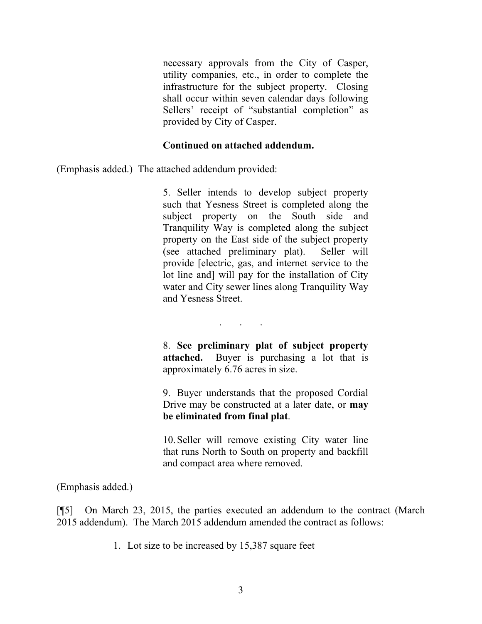necessary approvals from the City of Casper, utility companies, etc., in order to complete the infrastructure for the subject property. Closing shall occur within seven calendar days following Sellers' receipt of "substantial completion" as provided by City of Casper.

#### **Continued on attached addendum.**

(Emphasis added.) The attached addendum provided:

5. Seller intends to develop subject property such that Yesness Street is completed along the subject property on the South side and Tranquility Way is completed along the subject property on the East side of the subject property (see attached preliminary plat). Seller will provide [electric, gas, and internet service to the lot line and] will pay for the installation of City water and City sewer lines along Tranquility Way and Yesness Street.

. . .

8. **See preliminary plat of subject property attached.** Buyer is purchasing a lot that is approximately 6.76 acres in size.

9. Buyer understands that the proposed Cordial Drive may be constructed at a later date, or **may be eliminated from final plat**.

10.Seller will remove existing City water line that runs North to South on property and backfill and compact area where removed.

(Emphasis added.)

[¶5] On March 23, 2015, the parties executed an addendum to the contract (March 2015 addendum). The March 2015 addendum amended the contract as follows:

1. Lot size to be increased by 15,387 square feet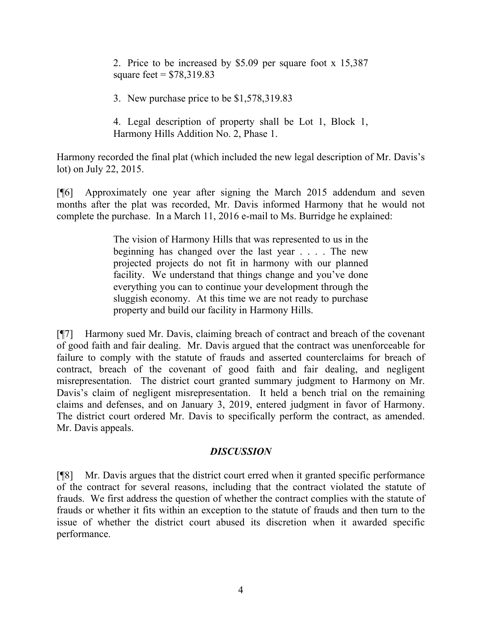2. Price to be increased by \$5.09 per square foot x 15,387 square feet =  $$78,319.83$ 

3. New purchase price to be \$1,578,319.83

4. Legal description of property shall be Lot 1, Block 1, Harmony Hills Addition No. 2, Phase 1.

Harmony recorded the final plat (which included the new legal description of Mr. Davis's lot) on July 22, 2015.

[¶6] Approximately one year after signing the March 2015 addendum and seven months after the plat was recorded, Mr. Davis informed Harmony that he would not complete the purchase. In a March 11, 2016 e-mail to Ms. Burridge he explained:

> The vision of Harmony Hills that was represented to us in the beginning has changed over the last year . . . . The new projected projects do not fit in harmony with our planned facility. We understand that things change and you've done everything you can to continue your development through the sluggish economy. At this time we are not ready to purchase property and build our facility in Harmony Hills.

[¶7] Harmony sued Mr. Davis, claiming breach of contract and breach of the covenant of good faith and fair dealing. Mr. Davis argued that the contract was unenforceable for failure to comply with the statute of frauds and asserted counterclaims for breach of contract, breach of the covenant of good faith and fair dealing, and negligent misrepresentation. The district court granted summary judgment to Harmony on Mr. Davis's claim of negligent misrepresentation. It held a bench trial on the remaining claims and defenses, and on January 3, 2019, entered judgment in favor of Harmony. The district court ordered Mr. Davis to specifically perform the contract, as amended. Mr. Davis appeals.

## *DISCUSSION*

[¶8] Mr. Davis argues that the district court erred when it granted specific performance of the contract for several reasons, including that the contract violated the statute of frauds. We first address the question of whether the contract complies with the statute of frauds or whether it fits within an exception to the statute of frauds and then turn to the issue of whether the district court abused its discretion when it awarded specific performance.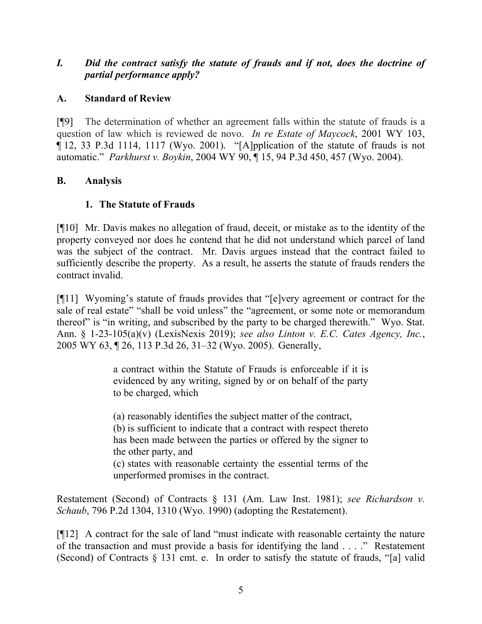## *I. Did the contract satisfy the statute of frauds and if not, does the doctrine of partial performance apply?*

## **A. Standard of Review**

[¶9] The determination of whether an agreement falls within the statute of frauds is a question of law which is reviewed de novo. *In re Estate of Maycock*, 2001 WY 103, ¶ 12, 33 P.3d 1114, 1117 (Wyo. 2001). "[A]pplication of the statute of frauds is not automatic." *Parkhurst v. Boykin*, 2004 WY 90, ¶ 15, 94 P.3d 450, 457 (Wyo. 2004).

## **B. Analysis**

# **1. The Statute of Frauds**

[¶10] Mr. Davis makes no allegation of fraud, deceit, or mistake as to the identity of the property conveyed nor does he contend that he did not understand which parcel of land was the subject of the contract. Mr. Davis argues instead that the contract failed to sufficiently describe the property. As a result, he asserts the statute of frauds renders the contract invalid.

[¶11] Wyoming's statute of frauds provides that "[e]very agreement or contract for the sale of real estate" "shall be void unless" the "agreement, or some note or memorandum thereof" is "in writing, and subscribed by the party to be charged therewith." Wyo. Stat. Ann. § 1-23-105(a)(v) (LexisNexis 2019); *see also Linton v. E.C. Cates Agency, Inc.*, 2005 WY 63, ¶ 26, 113 P.3d 26, 31–32 (Wyo. 2005). Generally,

> a contract within the Statute of Frauds is enforceable if it is evidenced by any writing, signed by or on behalf of the party to be charged, which

> (a) reasonably identifies the subject matter of the contract, (b) is sufficient to indicate that a contract with respect thereto has been made between the parties or offered by the signer to the other party, and (c) states with reasonable certainty the essential terms of the

unperformed promises in the contract.

Restatement (Second) of Contracts § 131 (Am. Law Inst. 1981); *see Richardson v. Schaub*, 796 P.2d 1304, 1310 (Wyo. 1990) (adopting the Restatement).

[¶12] A contract for the sale of land "must indicate with reasonable certainty the nature of the transaction and must provide a basis for identifying the land . . . ." Restatement (Second) of Contracts  $\S$  131 cmt. e. In order to satisfy the statute of frauds, "[a] valid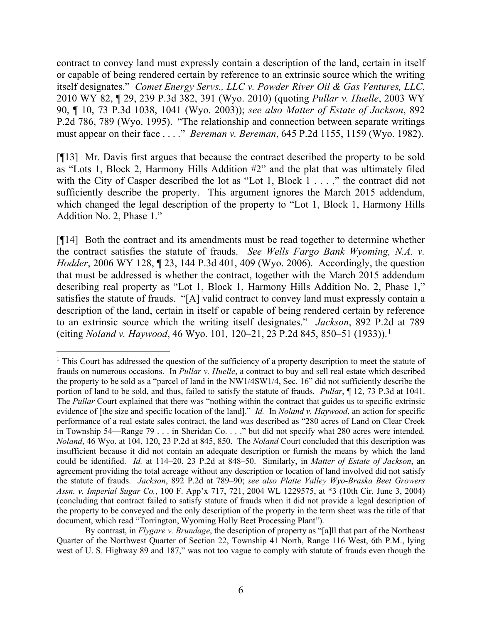contract to convey land must expressly contain a description of the land, certain in itself or capable of being rendered certain by reference to an extrinsic source which the writing itself designates." *Comet Energy Servs., LLC v. Powder River Oil & Gas Ventures, LLC*, 2010 WY 82, ¶ 29, 239 P.3d 382, 391 (Wyo. 2010) (quoting *Pullar v. Huelle*, 2003 WY 90, ¶ 10, 73 P.3d 1038, 1041 (Wyo. 2003)); *see also Matter of Estate of Jackson*, 892 P.2d 786, 789 (Wyo. 1995). "The relationship and connection between separate writings must appear on their face . . . ." *Bereman v. Bereman*, 645 P.2d 1155, 1159 (Wyo. 1982).

[¶13] Mr. Davis first argues that because the contract described the property to be sold as "Lots 1, Block 2, Harmony Hills Addition #2" and the plat that was ultimately filed with the City of Casper described the lot as "Lot 1, Block 1 . . . ," the contract did not sufficiently describe the property. This argument ignores the March 2015 addendum, which changed the legal description of the property to "Lot 1, Block 1, Harmony Hills Addition No. 2, Phase 1."

[¶14] Both the contract and its amendments must be read together to determine whether the contract satisfies the statute of frauds. *See Wells Fargo Bank Wyoming, N.A. v. Hodder*, 2006 WY 128, ¶ 23, 144 P.3d 401, 409 (Wyo. 2006). Accordingly, the question that must be addressed is whether the contract, together with the March 2015 addendum describing real property as "Lot 1, Block 1, Harmony Hills Addition No. 2, Phase 1," satisfies the statute of frauds. "[A] valid contract to convey land must expressly contain a description of the land, certain in itself or capable of being rendered certain by reference to an extrinsic source which the writing itself designates." *Jackson*, 892 P.2d at 789 (citing *Noland v. Haywood*, 46 Wyo. 101*,* 120–21, 23 P.2d 845, 850–51 (1933)). [1](#page-6-0)

<span id="page-6-0"></span><sup>&</sup>lt;sup>1</sup> This Court has addressed the question of the sufficiency of a property description to meet the statute of frauds on numerous occasions. In *Pullar v. Huelle*, a contract to buy and sell real estate which described the property to be sold as a "parcel of land in the NW1/4SW1/4, Sec. 16" did not sufficiently describe the portion of land to be sold, and thus, failed to satisfy the statute of frauds. *Pullar*, ¶ 12, 73 P.3d at 1041. The *Pullar* Court explained that there was "nothing within the contract that guides us to specific extrinsic evidence of [the size and specific location of the land]." *Id.* In *Noland v. Haywood*, an action for specific performance of a real estate sales contract, the land was described as "280 acres of Land on Clear Creek in Township 54—Range 79 . . . in Sheridan Co. . . ." but did not specify what 280 acres were intended. *Noland*, 46 Wyo. at 104, 120, 23 P.2d at 845, 850. The *Noland* Court concluded that this description was insufficient because it did not contain an adequate description or furnish the means by which the land could be identified. *Id.* at 114–20, 23 P.2d at 848–50. Similarly, in *Matter of Estate of Jackson*, an agreement providing the total acreage without any description or location of land involved did not satisfy the statute of frauds. *Jackson*, 892 P.2d at 789–90; *see also Platte Valley Wyo-Braska Beet Growers Assn. v. Imperial Sugar Co.*, 100 F. App'x 717, 721, 2004 WL 1229575, at \*3 (10th Cir. June 3, 2004) (concluding that contract failed to satisfy statute of frauds when it did not provide a legal description of the property to be conveyed and the only description of the property in the term sheet was the title of that document, which read "Torrington, Wyoming Holly Beet Processing Plant").

By contrast, in *Flygare v. Brundage*, the description of property as "[a]ll that part of the Northeast Quarter of the Northwest Quarter of Section 22, Township 41 North, Range 116 West, 6th P.M., lying west of U. S. Highway 89 and 187," was not too vague to comply with statute of frauds even though the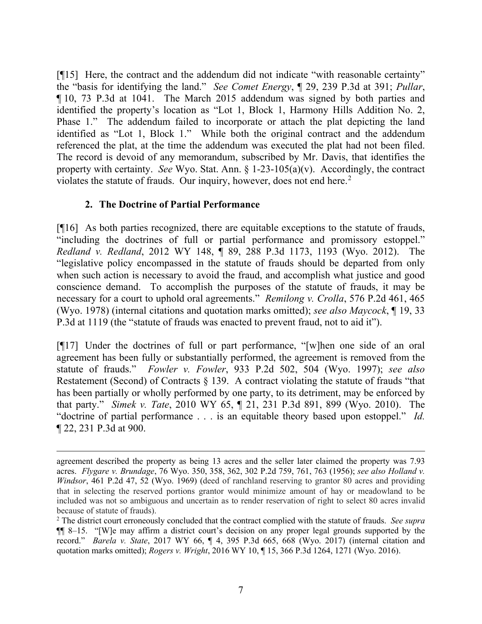[¶15] Here, the contract and the addendum did not indicate "with reasonable certainty" the "basis for identifying the land." *See Comet Energy*, ¶ 29, 239 P.3d at 391; *Pullar*, ¶ 10, 73 P.3d at 1041. The March 2015 addendum was signed by both parties and identified the property's location as "Lot 1, Block 1, Harmony Hills Addition No. 2, Phase 1." The addendum failed to incorporate or attach the plat depicting the land identified as "Lot 1, Block 1." While both the original contract and the addendum referenced the plat, at the time the addendum was executed the plat had not been filed. The record is devoid of any memorandum, subscribed by Mr. Davis, that identifies the property with certainty. *See* Wyo. Stat. Ann. § 1-23-105(a)(v). Accordingly, the contract violates the statute of frauds. Our inquiry, however, does not end here. [2](#page-7-0)

## **2. The Doctrine of Partial Performance**

[¶16] As both parties recognized, there are equitable exceptions to the statute of frauds, "including the doctrines of full or partial performance and promissory estoppel." *Redland v. Redland*, 2012 WY 148, ¶ 89, 288 P.3d 1173, 1193 (Wyo. 2012). The "legislative policy encompassed in the statute of frauds should be departed from only when such action is necessary to avoid the fraud, and accomplish what justice and good conscience demand. To accomplish the purposes of the statute of frauds, it may be necessary for a court to uphold oral agreements." *Remilong v. Crolla*, 576 P.2d 461, 465 (Wyo. 1978) (internal citations and quotation marks omitted); *see also Maycock*, ¶ 19, 33 P.3d at 1119 (the "statute of frauds was enacted to prevent fraud, not to aid it").

[¶17] Under the doctrines of full or part performance, "[w]hen one side of an oral agreement has been fully or substantially performed, the agreement is removed from the statute of frauds." *Fowler v. Fowler*, 933 P.2d 502, 504 (Wyo. 1997); *see also* Restatement (Second) of Contracts  $\S$  139. A contract violating the statute of frauds "that has been partially or wholly performed by one party, to its detriment, may be enforced by that party." *Simek v. Tate*, 2010 WY 65, ¶ 21, 231 P.3d 891, 899 (Wyo. 2010). The "doctrine of partial performance . . . is an equitable theory based upon estoppel." *Id.* ¶ 22, 231 P.3d at 900.

agreement described the property as being 13 acres and the seller later claimed the property was 7.93 acres. *Flygare v. Brundage*, 76 Wyo. 350, 358, 362, 302 P.2d 759, 761, 763 (1956); *see also Holland v. Windsor*, 461 P.2d 47, 52 (Wyo. 1969) (deed of ranchland reserving to grantor 80 acres and providing that in selecting the reserved portions grantor would minimize amount of hay or meadowland to be included was not so ambiguous and uncertain as to render reservation of right to select 80 acres invalid because of statute of frauds).

<span id="page-7-0"></span><sup>2</sup> The district court erroneously concluded that the contract complied with the statute of frauds. *See supra* ¶¶ 8–15. "[W]e may affirm a district court's decision on any proper legal grounds supported by the record." *Barela v. State*, 2017 WY 66, ¶ 4, 395 P.3d 665, 668 (Wyo. 2017) (internal citation and quotation marks omitted); *Rogers v. Wright*, 2016 WY 10, ¶ 15, 366 P.3d 1264, 1271 (Wyo. 2016).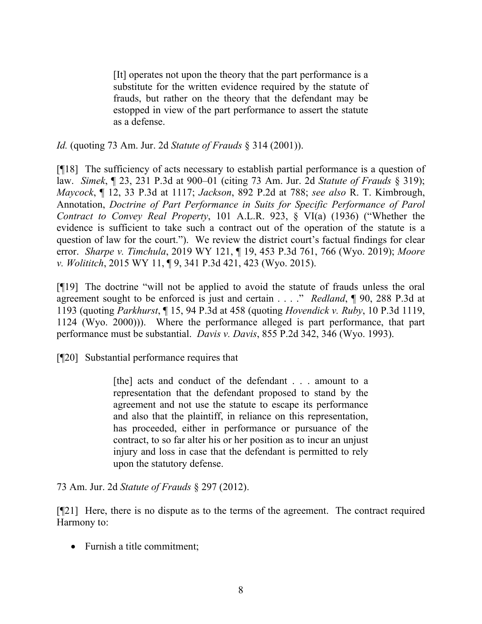[It] operates not upon the theory that the part performance is a substitute for the written evidence required by the statute of frauds, but rather on the theory that the defendant may be estopped in view of the part performance to assert the statute as a defense.

*Id.* (quoting 73 Am. Jur. 2d *Statute of Frauds* § 314 (2001)).

[¶18] The sufficiency of acts necessary to establish partial performance is a question of law. *Simek*, ¶ 23, 231 P.3d at 900–01 (citing 73 Am. Jur. 2d *Statute of Frauds* § 319); *Maycock*, ¶ 12, 33 P.3d at 1117; *Jackson*, 892 P.2d at 788; *see also* R. T. Kimbrough, Annotation, *Doctrine of Part Performance in Suits for Specific Performance of Parol Contract to Convey Real Property*, 101 A.L.R. 923, § VI(a) (1936) ("Whether the evidence is sufficient to take such a contract out of the operation of the statute is a question of law for the court."). We review the district court's factual findings for clear error. *Sharpe v. Timchula*, 2019 WY 121, ¶ 19, 453 P.3d 761, 766 (Wyo. 2019); *Moore v. Wolititch*, 2015 WY 11, ¶ 9, 341 P.3d 421, 423 (Wyo. 2015).

[¶19] The doctrine "will not be applied to avoid the statute of frauds unless the oral agreement sought to be enforced is just and certain . . . ." *Redland*, ¶ 90, 288 P.3d at 1193 (quoting *Parkhurst*, ¶ 15, 94 P.3d at 458 (quoting *Hovendick v. Ruby*, 10 P.3d 1119, 1124 (Wyo. 2000))). Where the performance alleged is part performance, that part performance must be substantial. *Davis v. Davis*, 855 P.2d 342, 346 (Wyo. 1993).

[¶20] Substantial performance requires that

[the] acts and conduct of the defendant . . . amount to a representation that the defendant proposed to stand by the agreement and not use the statute to escape its performance and also that the plaintiff, in reliance on this representation, has proceeded, either in performance or pursuance of the contract, to so far alter his or her position as to incur an unjust injury and loss in case that the defendant is permitted to rely upon the statutory defense.

73 Am. Jur. 2d *Statute of Frauds* § 297 (2012).

[¶21] Here, there is no dispute as to the terms of the agreement. The contract required Harmony to:

• Furnish a title commitment;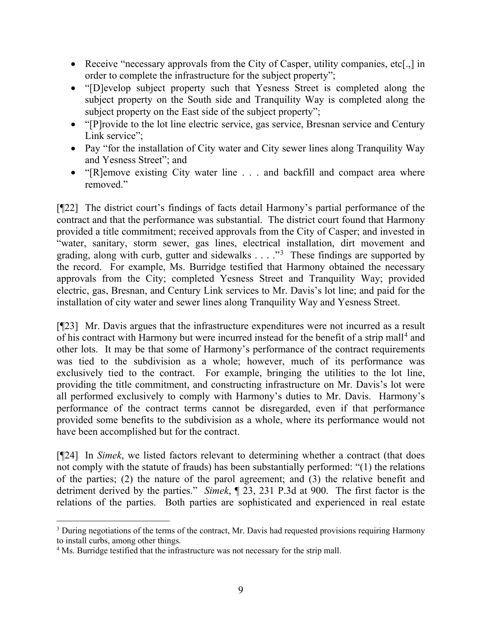- Receive "necessary approvals from the City of Casper, utility companies, etc[.,] in order to complete the infrastructure for the subject property";
- "[D]evelop subject property such that Yesness Street is completed along the subject property on the South side and Tranquility Way is completed along the subject property on the East side of the subject property";
- "[P]rovide to the lot line electric service, gas service, Bresnan service and Century Link service":
- Pay "for the installation of City water and City sewer lines along Tranquility Way and Yesness Street"; and
- "[R]emove existing City water line . . . and backfill and compact area where removed."

[¶22] The district court's findings of facts detail Harmony's partial performance of the contract and that the performance was substantial. The district court found that Harmony provided a title commitment; received approvals from the City of Casper; and invested in "water, sanitary, storm sewer, gas lines, electrical installation, dirt movement and grading, along with curb, gutter and sidewalks  $\ldots$  ."<sup>[3](#page-9-0)</sup> These findings are supported by the record. For example, Ms. Burridge testified that Harmony obtained the necessary approvals from the City; completed Yesness Street and Tranquility Way; provided electric, gas, Bresnan, and Century Link services to Mr. Davis's lot line; and paid for the installation of city water and sewer lines along Tranquility Way and Yesness Street.

[¶23] Mr. Davis argues that the infrastructure expenditures were not incurred as a result of his contract with Harmony but were incurred instead for the benefit of a strip mall<sup>[4](#page-9-1)</sup> and other lots. It may be that some of Harmony's performance of the contract requirements was tied to the subdivision as a whole; however, much of its performance was exclusively tied to the contract. For example, bringing the utilities to the lot line, providing the title commitment, and constructing infrastructure on Mr. Davis's lot were all performed exclusively to comply with Harmony's duties to Mr. Davis. Harmony's performance of the contract terms cannot be disregarded, even if that performance provided some benefits to the subdivision as a whole, where its performance would not have been accomplished but for the contract.

[¶24] In *Simek*, we listed factors relevant to determining whether a contract (that does not comply with the statute of frauds) has been substantially performed: "(1) the relations of the parties; (2) the nature of the parol agreement; and (3) the relative benefit and detriment derived by the parties." *Simek*, ¶ 23, 231 P.3d at 900. The first factor is the relations of the parties. Both parties are sophisticated and experienced in real estate

<span id="page-9-0"></span><sup>&</sup>lt;sup>3</sup> During negotiations of the terms of the contract, Mr. Davis had requested provisions requiring Harmony to install curbs, among other things.

<span id="page-9-1"></span><sup>&</sup>lt;sup>4</sup> Ms. Burridge testified that the infrastructure was not necessary for the strip mall.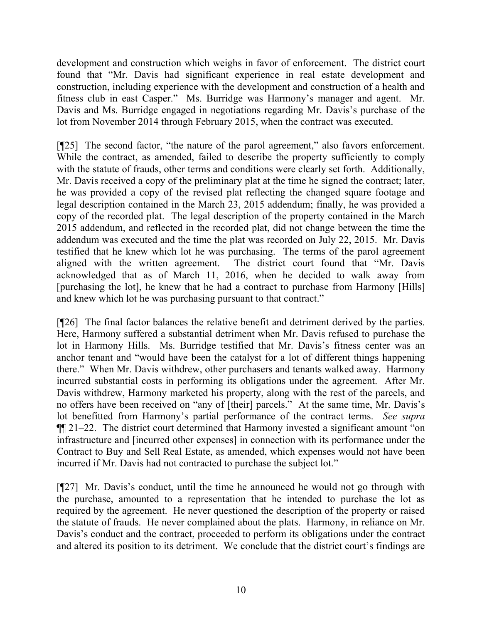development and construction which weighs in favor of enforcement. The district court found that "Mr. Davis had significant experience in real estate development and construction, including experience with the development and construction of a health and fitness club in east Casper." Ms. Burridge was Harmony's manager and agent. Mr. Davis and Ms. Burridge engaged in negotiations regarding Mr. Davis's purchase of the lot from November 2014 through February 2015, when the contract was executed.

[¶25] The second factor, "the nature of the parol agreement," also favors enforcement. While the contract, as amended, failed to describe the property sufficiently to comply with the statute of frauds, other terms and conditions were clearly set forth. Additionally, Mr. Davis received a copy of the preliminary plat at the time he signed the contract; later, he was provided a copy of the revised plat reflecting the changed square footage and legal description contained in the March 23, 2015 addendum; finally, he was provided a copy of the recorded plat. The legal description of the property contained in the March 2015 addendum, and reflected in the recorded plat, did not change between the time the addendum was executed and the time the plat was recorded on July 22, 2015. Mr. Davis testified that he knew which lot he was purchasing. The terms of the parol agreement aligned with the written agreement. The district court found that "Mr. Davis acknowledged that as of March 11, 2016, when he decided to walk away from [purchasing the lot], he knew that he had a contract to purchase from Harmony [Hills] and knew which lot he was purchasing pursuant to that contract."

[¶26] The final factor balances the relative benefit and detriment derived by the parties. Here, Harmony suffered a substantial detriment when Mr. Davis refused to purchase the lot in Harmony Hills. Ms. Burridge testified that Mr. Davis's fitness center was an anchor tenant and "would have been the catalyst for a lot of different things happening there." When Mr. Davis withdrew, other purchasers and tenants walked away. Harmony incurred substantial costs in performing its obligations under the agreement. After Mr. Davis withdrew, Harmony marketed his property, along with the rest of the parcels, and no offers have been received on "any of [their] parcels." At the same time, Mr. Davis's lot benefitted from Harmony's partial performance of the contract terms. *See supra* ¶¶ 21–22. The district court determined that Harmony invested a significant amount "on infrastructure and [incurred other expenses] in connection with its performance under the Contract to Buy and Sell Real Estate, as amended, which expenses would not have been incurred if Mr. Davis had not contracted to purchase the subject lot."

[¶27] Mr. Davis's conduct, until the time he announced he would not go through with the purchase, amounted to a representation that he intended to purchase the lot as required by the agreement. He never questioned the description of the property or raised the statute of frauds. He never complained about the plats. Harmony, in reliance on Mr. Davis's conduct and the contract, proceeded to perform its obligations under the contract and altered its position to its detriment. We conclude that the district court's findings are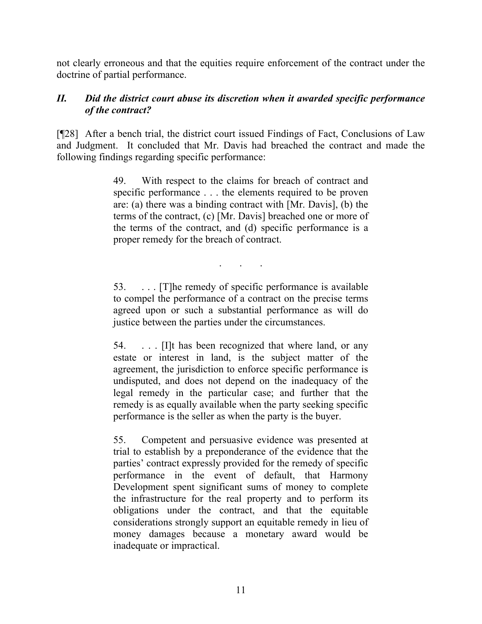not clearly erroneous and that the equities require enforcement of the contract under the doctrine of partial performance.

## *II. Did the district court abuse its discretion when it awarded specific performance of the contract?*

[¶28] After a bench trial, the district court issued Findings of Fact, Conclusions of Law and Judgment. It concluded that Mr. Davis had breached the contract and made the following findings regarding specific performance:

> 49. With respect to the claims for breach of contract and specific performance . . . the elements required to be proven are: (a) there was a binding contract with [Mr. Davis], (b) the terms of the contract, (c) [Mr. Davis] breached one or more of the terms of the contract, and (d) specific performance is a proper remedy for the breach of contract.

> 53. . . . [T]he remedy of specific performance is available to compel the performance of a contract on the precise terms agreed upon or such a substantial performance as will do justice between the parties under the circumstances.

. . .

54. . . . [I]t has been recognized that where land, or any estate or interest in land, is the subject matter of the agreement, the jurisdiction to enforce specific performance is undisputed, and does not depend on the inadequacy of the legal remedy in the particular case; and further that the remedy is as equally available when the party seeking specific performance is the seller as when the party is the buyer.

55. Competent and persuasive evidence was presented at trial to establish by a preponderance of the evidence that the parties' contract expressly provided for the remedy of specific performance in the event of default, that Harmony Development spent significant sums of money to complete the infrastructure for the real property and to perform its obligations under the contract, and that the equitable considerations strongly support an equitable remedy in lieu of money damages because a monetary award would be inadequate or impractical.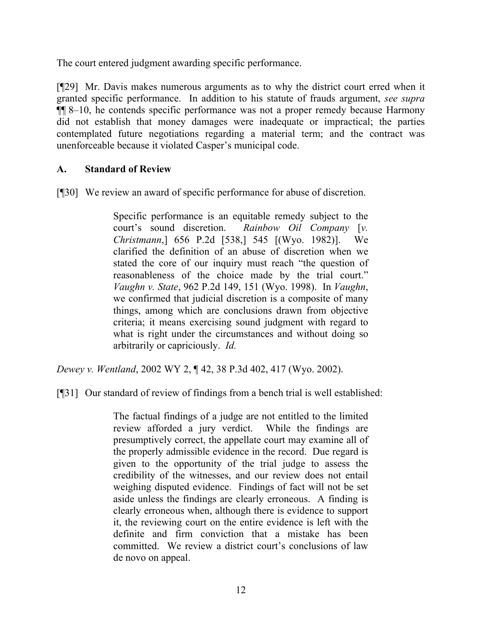The court entered judgment awarding specific performance.

[¶29] Mr. Davis makes numerous arguments as to why the district court erred when it granted specific performance. In addition to his statute of frauds argument, *see supra*  ¶¶ 8–10, he contends specific performance was not a proper remedy because Harmony did not establish that money damages were inadequate or impractical; the parties contemplated future negotiations regarding a material term; and the contract was unenforceable because it violated Casper's municipal code.

## **A. Standard of Review**

[¶30] We review an award of specific performance for abuse of discretion.

Specific performance is an equitable remedy subject to the court's sound discretion. *Rainbow Oil Company* [*v. Christmann*,] 656 P.2d [538,] 545 [(Wyo. 1982)]. We clarified the definition of an abuse of discretion when we stated the core of our inquiry must reach "the question of reasonableness of the choice made by the trial court." *Vaughn v. State*, 962 P.2d 149, 151 (Wyo. 1998). In *Vaughn*, we confirmed that judicial discretion is a composite of many things, among which are conclusions drawn from objective criteria; it means exercising sound judgment with regard to what is right under the circumstances and without doing so arbitrarily or capriciously. *Id.*

*Dewey v. Wentland*, 2002 WY 2, ¶ 42, 38 P.3d 402, 417 (Wyo. 2002).

[¶31] Our standard of review of findings from a bench trial is well established:

The factual findings of a judge are not entitled to the limited review afforded a jury verdict. While the findings are presumptively correct, the appellate court may examine all of the properly admissible evidence in the record. Due regard is given to the opportunity of the trial judge to assess the credibility of the witnesses, and our review does not entail weighing disputed evidence. Findings of fact will not be set aside unless the findings are clearly erroneous. A finding is clearly erroneous when, although there is evidence to support it, the reviewing court on the entire evidence is left with the definite and firm conviction that a mistake has been committed. We review a district court's conclusions of law de novo on appeal.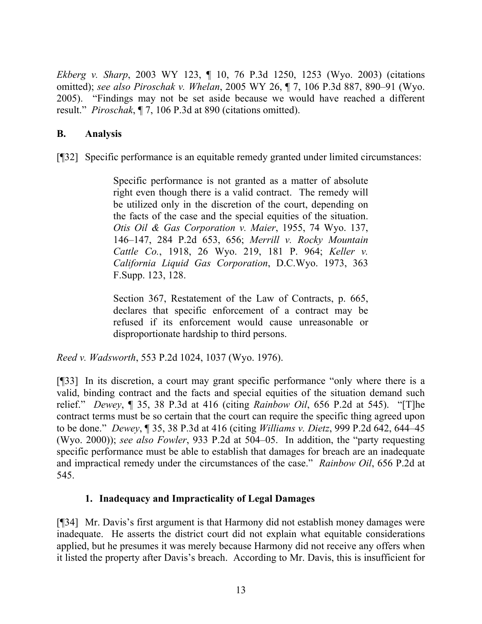*Ekberg v. Sharp*, 2003 WY 123, ¶ 10, 76 P.3d 1250, 1253 (Wyo. 2003) (citations omitted); *see also Piroschak v. Whelan*, 2005 WY 26, ¶ 7, 106 P.3d 887, 890–91 (Wyo. 2005). "Findings may not be set aside because we would have reached a different result." *Piroschak*, ¶ 7, 106 P.3d at 890 (citations omitted).

## **B. Analysis**

[¶32] Specific performance is an equitable remedy granted under limited circumstances:

Specific performance is not granted as a matter of absolute right even though there is a valid contract. The remedy will be utilized only in the discretion of the court, depending on the facts of the case and the special equities of the situation. *Otis Oil & Gas Corporation v. Maier*, 1955, 74 Wyo. 137, 146–147, 284 P.2d 653, 656; *Merrill v. Rocky Mountain Cattle Co.*, 1918, 26 Wyo. 219, 181 P. 964; *Keller v. California Liquid Gas Corporation*, D.C.Wyo. 1973, 363 F.Supp. 123, 128.

Section 367, Restatement of the Law of Contracts, p. 665, declares that specific enforcement of a contract may be refused if its enforcement would cause unreasonable or disproportionate hardship to third persons.

*Reed v. Wadsworth*, 553 P.2d 1024, 1037 (Wyo. 1976).

[¶33] In its discretion, a court may grant specific performance "only where there is a valid, binding contract and the facts and special equities of the situation demand such relief." *Dewey*, ¶ 35, 38 P.3d at 416 (citing *Rainbow Oil*, 656 P.2d at 545). "[T]he contract terms must be so certain that the court can require the specific thing agreed upon to be done." *Dewey*, ¶ 35, 38 P.3d at 416 (citing *Williams v. Dietz*, 999 P.2d 642, 644–45 (Wyo. 2000)); *see also Fowler*, 933 P.2d at 504–05. In addition, the "party requesting specific performance must be able to establish that damages for breach are an inadequate and impractical remedy under the circumstances of the case." *Rainbow Oil*, 656 P.2d at 545.

# **1. Inadequacy and Impracticality of Legal Damages**

[¶34] Mr. Davis's first argument is that Harmony did not establish money damages were inadequate. He asserts the district court did not explain what equitable considerations applied, but he presumes it was merely because Harmony did not receive any offers when it listed the property after Davis's breach. According to Mr. Davis, this is insufficient for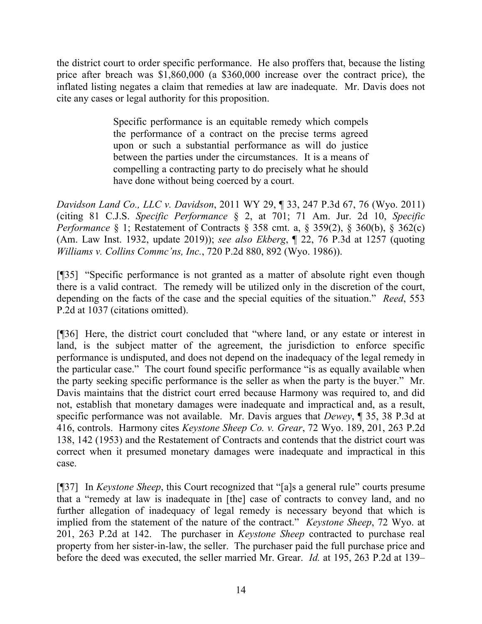the district court to order specific performance. He also proffers that, because the listing price after breach was \$1,860,000 (a \$360,000 increase over the contract price), the inflated listing negates a claim that remedies at law are inadequate. Mr. Davis does not cite any cases or legal authority for this proposition.

> Specific performance is an equitable remedy which compels the performance of a contract on the precise terms agreed upon or such a substantial performance as will do justice between the parties under the circumstances. It is a means of compelling a contracting party to do precisely what he should have done without being coerced by a court.

*Davidson Land Co., LLC v. Davidson*, 2011 WY 29, ¶ 33, 247 P.3d 67, 76 (Wyo. 2011) (citing 81 C.J.S. *Specific Performance* § 2, at 701; 71 Am. Jur. 2d 10, *Specific Performance* § 1; Restatement of Contracts § 358 cmt. a, § 359(2), § 360(b), § 362(c) (Am. Law Inst. 1932, update 2019)); *see also Ekberg*, ¶ 22, 76 P.3d at 1257 (quoting *Williams v. Collins Commc'ns, Inc.*, 720 P.2d 880, 892 (Wyo. 1986)).

[¶35] "Specific performance is not granted as a matter of absolute right even though there is a valid contract. The remedy will be utilized only in the discretion of the court, depending on the facts of the case and the special equities of the situation." *Reed*, 553 P.2d at 1037 (citations omitted).

[¶36] Here, the district court concluded that "where land, or any estate or interest in land, is the subject matter of the agreement, the jurisdiction to enforce specific performance is undisputed, and does not depend on the inadequacy of the legal remedy in the particular case." The court found specific performance "is as equally available when the party seeking specific performance is the seller as when the party is the buyer." Mr. Davis maintains that the district court erred because Harmony was required to, and did not, establish that monetary damages were inadequate and impractical and, as a result, specific performance was not available. Mr. Davis argues that *Dewey*, ¶ 35, 38 P.3d at 416, controls. Harmony cites *Keystone Sheep Co. v. Grear*, 72 Wyo. 189, 201, 263 P.2d 138, 142 (1953) and the Restatement of Contracts and contends that the district court was correct when it presumed monetary damages were inadequate and impractical in this case.

[¶37] In *Keystone Sheep*, this Court recognized that "[a]s a general rule" courts presume that a "remedy at law is inadequate in [the] case of contracts to convey land, and no further allegation of inadequacy of legal remedy is necessary beyond that which is implied from the statement of the nature of the contract." *Keystone Sheep*, 72 Wyo. at 201, 263 P.2d at 142. The purchaser in *Keystone Sheep* contracted to purchase real property from her sister-in-law, the seller. The purchaser paid the full purchase price and before the deed was executed, the seller married Mr. Grear. *Id.* at 195, 263 P.2d at 139–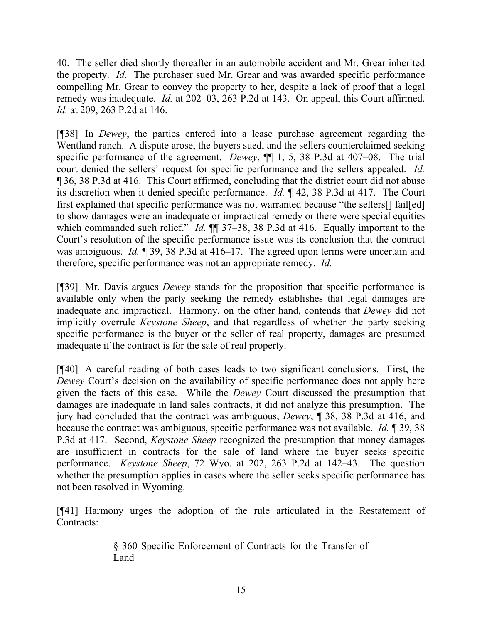40. The seller died shortly thereafter in an automobile accident and Mr. Grear inherited the property. *Id.* The purchaser sued Mr. Grear and was awarded specific performance compelling Mr. Grear to convey the property to her, despite a lack of proof that a legal remedy was inadequate. *Id.* at 202–03, 263 P.2d at 143. On appeal, this Court affirmed. *Id.* at 209, 263 P.2d at 146.

[¶38] In *Dewey*, the parties entered into a lease purchase agreement regarding the Wentland ranch. A dispute arose, the buyers sued, and the sellers counterclaimed seeking specific performance of the agreement. *Dewey*, ¶¶ 1, 5, 38 P.3d at 407–08. The trial court denied the sellers' request for specific performance and the sellers appealed. *Id.* ¶ 36, 38 P.3d at 416. This Court affirmed, concluding that the district court did not abuse its discretion when it denied specific performance. *Id.* ¶ 42, 38 P.3d at 417. The Court first explained that specific performance was not warranted because "the sellers[] fail[ed] to show damages were an inadequate or impractical remedy or there were special equities which commanded such relief." *Id.*  $\P$  37–38, 38 P.3d at 416. Equally important to the Court's resolution of the specific performance issue was its conclusion that the contract was ambiguous. *Id.* ¶ 39, 38 P.3d at 416–17. The agreed upon terms were uncertain and therefore, specific performance was not an appropriate remedy. *Id.*

[¶39] Mr. Davis argues *Dewey* stands for the proposition that specific performance is available only when the party seeking the remedy establishes that legal damages are inadequate and impractical. Harmony, on the other hand, contends that *Dewey* did not implicitly overrule *Keystone Sheep*, and that regardless of whether the party seeking specific performance is the buyer or the seller of real property, damages are presumed inadequate if the contract is for the sale of real property.

[¶40] A careful reading of both cases leads to two significant conclusions. First, the *Dewey* Court's decision on the availability of specific performance does not apply here given the facts of this case. While the *Dewey* Court discussed the presumption that damages are inadequate in land sales contracts, it did not analyze this presumption. The jury had concluded that the contract was ambiguous, *Dewey*, ¶ 38, 38 P.3d at 416, and because the contract was ambiguous, specific performance was not available. *Id.* ¶ 39, 38 P.3d at 417. Second, *Keystone Sheep* recognized the presumption that money damages are insufficient in contracts for the sale of land where the buyer seeks specific performance. *Keystone Sheep*, 72 Wyo. at 202, 263 P.2d at 142–43. The question whether the presumption applies in cases where the seller seeks specific performance has not been resolved in Wyoming.

[¶41] Harmony urges the adoption of the rule articulated in the Restatement of Contracts:

> § 360 Specific Enforcement of Contracts for the Transfer of Land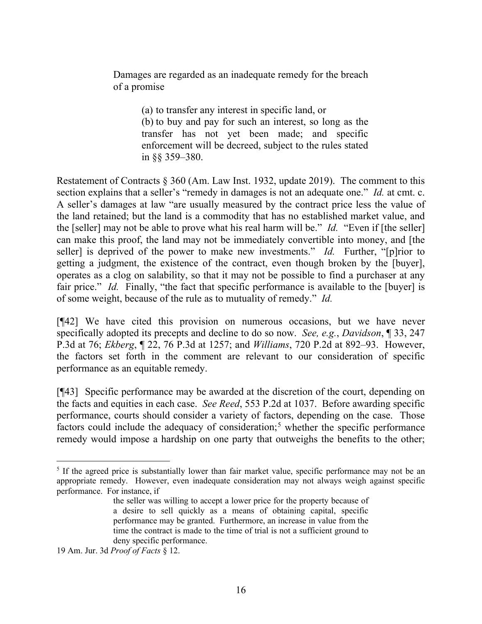Damages are regarded as an inadequate remedy for the breach of a promise

> (a) to transfer any interest in specific land, or (b) to buy and pay for such an interest, so long as the transfer has not yet been made; and specific enforcement will be decreed, subject to the rules stated in §§ 359–380.

Restatement of Contracts § 360 (Am. Law Inst. 1932, update 2019). The comment to this section explains that a seller's "remedy in damages is not an adequate one." *Id.* at cmt. c. A seller's damages at law "are usually measured by the contract price less the value of the land retained; but the land is a commodity that has no established market value, and the [seller] may not be able to prove what his real harm will be." *Id.* "Even if [the seller] can make this proof, the land may not be immediately convertible into money, and [the seller] is deprived of the power to make new investments." *Id.* Further, "[p]rior to getting a judgment, the existence of the contract, even though broken by the [buyer], operates as a clog on salability, so that it may not be possible to find a purchaser at any fair price." *Id.* Finally, "the fact that specific performance is available to the [buyer] is of some weight, because of the rule as to mutuality of remedy." *Id.*

[¶42] We have cited this provision on numerous occasions, but we have never specifically adopted its precepts and decline to do so now. *See, e.g.*, *Davidson*, ¶ 33, 247 P.3d at 76; *Ekberg*, ¶ 22, 76 P.3d at 1257; and *Williams*, 720 P.2d at 892–93. However, the factors set forth in the comment are relevant to our consideration of specific performance as an equitable remedy.

[¶43] Specific performance may be awarded at the discretion of the court, depending on the facts and equities in each case. *See Reed*, 553 P.2d at 1037. Before awarding specific performance, courts should consider a variety of factors, depending on the case. Those factors could include the adequacy of consideration; [5](#page-16-0) whether the specific performance remedy would impose a hardship on one party that outweighs the benefits to the other;

<span id="page-16-0"></span><sup>&</sup>lt;sup>5</sup> If the agreed price is substantially lower than fair market value, specific performance may not be an appropriate remedy. However, even inadequate consideration may not always weigh against specific performance. For instance, if

the seller was willing to accept a lower price for the property because of a desire to sell quickly as a means of obtaining capital, specific performance may be granted. Furthermore, an increase in value from the time the contract is made to the time of trial is not a sufficient ground to deny specific performance.

<sup>19</sup> Am. Jur. 3d *Proof of Facts* § 12.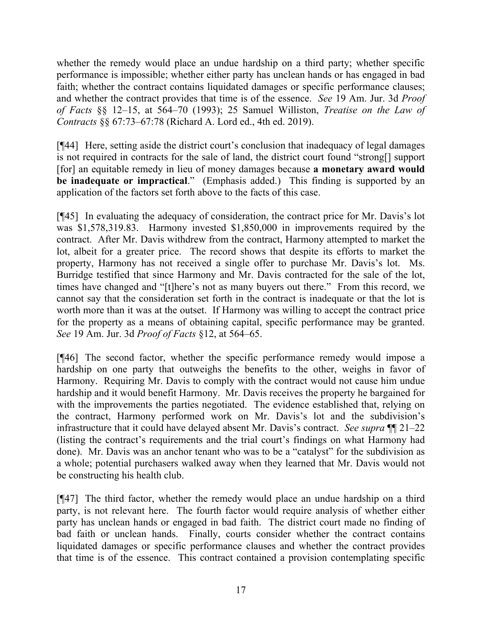whether the remedy would place an undue hardship on a third party; whether specific performance is impossible; whether either party has unclean hands or has engaged in bad faith; whether the contract contains liquidated damages or specific performance clauses; and whether the contract provides that time is of the essence. *See* 19 Am. Jur. 3d *Proof of Facts* §§ 12–15, at 564–70 (1993); 25 Samuel Williston, *Treatise on the Law of Contracts* §§ 67:73–67:78 (Richard A. Lord ed., 4th ed. 2019).

[¶44] Here, setting aside the district court's conclusion that inadequacy of legal damages is not required in contracts for the sale of land, the district court found "strong[] support [for] an equitable remedy in lieu of money damages because **a monetary award would be inadequate or impractical**." (Emphasis added.) This finding is supported by an application of the factors set forth above to the facts of this case.

[¶45] In evaluating the adequacy of consideration, the contract price for Mr. Davis's lot was \$1,578,319.83. Harmony invested \$1,850,000 in improvements required by the contract. After Mr. Davis withdrew from the contract, Harmony attempted to market the lot, albeit for a greater price. The record shows that despite its efforts to market the property, Harmony has not received a single offer to purchase Mr. Davis's lot. Ms. Burridge testified that since Harmony and Mr. Davis contracted for the sale of the lot, times have changed and "[t]here's not as many buyers out there." From this record, we cannot say that the consideration set forth in the contract is inadequate or that the lot is worth more than it was at the outset. If Harmony was willing to accept the contract price for the property as a means of obtaining capital, specific performance may be granted. *See* 19 Am. Jur. 3d *Proof of Facts* §12, at 564–65.

[¶46] The second factor, whether the specific performance remedy would impose a hardship on one party that outweighs the benefits to the other, weighs in favor of Harmony. Requiring Mr. Davis to comply with the contract would not cause him undue hardship and it would benefit Harmony. Mr. Davis receives the property he bargained for with the improvements the parties negotiated. The evidence established that, relying on the contract, Harmony performed work on Mr. Davis's lot and the subdivision's infrastructure that it could have delayed absent Mr. Davis's contract. *See supra* ¶¶ 21–22 (listing the contract's requirements and the trial court's findings on what Harmony had done). Mr. Davis was an anchor tenant who was to be a "catalyst" for the subdivision as a whole; potential purchasers walked away when they learned that Mr. Davis would not be constructing his health club.

[¶47] The third factor, whether the remedy would place an undue hardship on a third party, is not relevant here. The fourth factor would require analysis of whether either party has unclean hands or engaged in bad faith. The district court made no finding of bad faith or unclean hands. Finally, courts consider whether the contract contains liquidated damages or specific performance clauses and whether the contract provides that time is of the essence. This contract contained a provision contemplating specific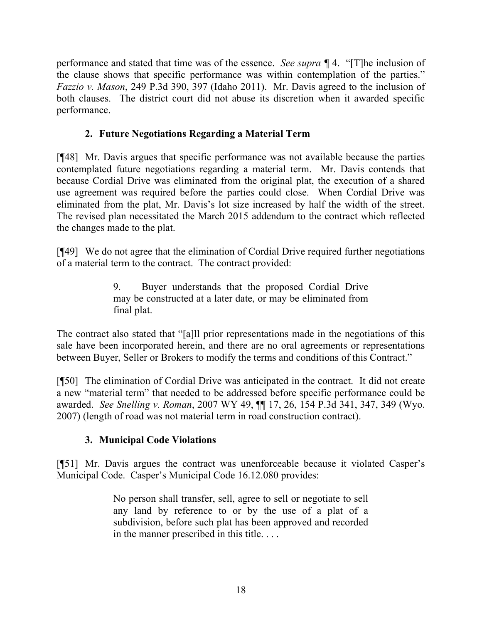performance and stated that time was of the essence. *See supra ¶* 4. "[T]he inclusion of the clause shows that specific performance was within contemplation of the parties." *Fazzio v. Mason*, 249 P.3d 390, 397 (Idaho 2011). Mr. Davis agreed to the inclusion of both clauses. The district court did not abuse its discretion when it awarded specific performance.

# **2. Future Negotiations Regarding a Material Term**

[¶48] Mr. Davis argues that specific performance was not available because the parties contemplated future negotiations regarding a material term. Mr. Davis contends that because Cordial Drive was eliminated from the original plat, the execution of a shared use agreement was required before the parties could close. When Cordial Drive was eliminated from the plat, Mr. Davis's lot size increased by half the width of the street. The revised plan necessitated the March 2015 addendum to the contract which reflected the changes made to the plat.

[¶49] We do not agree that the elimination of Cordial Drive required further negotiations of a material term to the contract. The contract provided:

> 9. Buyer understands that the proposed Cordial Drive may be constructed at a later date, or may be eliminated from final plat.

The contract also stated that "[a]ll prior representations made in the negotiations of this sale have been incorporated herein, and there are no oral agreements or representations between Buyer, Seller or Brokers to modify the terms and conditions of this Contract."

[¶50] The elimination of Cordial Drive was anticipated in the contract. It did not create a new "material term" that needed to be addressed before specific performance could be awarded. *See Snelling v. Roman*, 2007 WY 49, ¶¶ 17, 26, 154 P.3d 341, 347, 349 (Wyo. 2007) (length of road was not material term in road construction contract).

# **3. Municipal Code Violations**

[¶51] Mr. Davis argues the contract was unenforceable because it violated Casper's Municipal Code. Casper's Municipal Code 16.12.080 provides:

> No person shall transfer, sell, agree to sell or negotiate to sell any land by reference to or by the use of a plat of a subdivision, before such plat has been approved and recorded in the manner prescribed in this title. . . .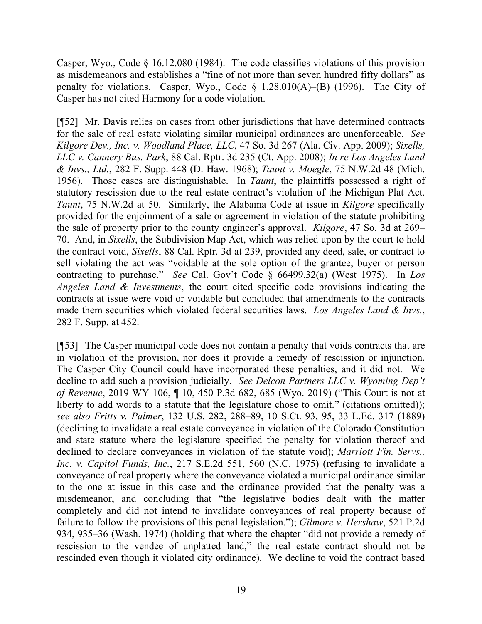Casper, Wyo., Code § 16.12.080 (1984). The code classifies violations of this provision as misdemeanors and establishes a "fine of not more than seven hundred fifty dollars" as penalty for violations. Casper, Wyo., Code  $\S$  1.28.010(A)–(B) (1996). The City of Casper has not cited Harmony for a code violation.

[¶52] Mr. Davis relies on cases from other jurisdictions that have determined contracts for the sale of real estate violating similar municipal ordinances are unenforceable. *See Kilgore Dev., Inc. v. Woodland Place, LLC*, 47 So. 3d 267 (Ala. Civ. App. 2009); *Sixells, LLC v. Cannery Bus. Park*, 88 Cal. Rptr. 3d 235 (Ct. App. 2008); *In re Los Angeles Land & Invs., Ltd.*, 282 F. Supp. 448 (D. Haw. 1968); *Taunt v. Moegle*, 75 N.W.2d 48 (Mich. 1956). Those cases are distinguishable. In *Taunt*, the plaintiffs possessed a right of statutory rescission due to the real estate contract's violation of the Michigan Plat Act. *Taunt*, 75 N.W.2d at 50. Similarly, the Alabama Code at issue in *Kilgore* specifically provided for the enjoinment of a sale or agreement in violation of the statute prohibiting the sale of property prior to the county engineer's approval. *Kilgore*, 47 So. 3d at 269– 70. And, in *Sixells*, the Subdivision Map Act, which was relied upon by the court to hold the contract void, *Sixells*, 88 Cal. Rptr. 3d at 239, provided any deed, sale, or contract to sell violating the act was "voidable at the sole option of the grantee, buyer or person contracting to purchase." *See* Cal. Gov't Code § 66499.32(a) (West 1975). In *Los Angeles Land & Investments*, the court cited specific code provisions indicating the contracts at issue were void or voidable but concluded that amendments to the contracts made them securities which violated federal securities laws. *Los Angeles Land & Invs.*, 282 F. Supp. at 452.

[¶53] The Casper municipal code does not contain a penalty that voids contracts that are in violation of the provision, nor does it provide a remedy of rescission or injunction. The Casper City Council could have incorporated these penalties, and it did not. We decline to add such a provision judicially. *See Delcon Partners LLC v. Wyoming Dep't of Revenue*, 2019 WY 106, ¶ 10, 450 P.3d 682, 685 (Wyo. 2019) ("This Court is not at liberty to add words to a statute that the legislature chose to omit." (citations omitted)); *see also Fritts v. Palmer*, 132 U.S. 282, 288–89, 10 S.Ct. 93, 95, 33 L.Ed. 317 (1889) (declining to invalidate a real estate conveyance in violation of the Colorado Constitution and state statute where the legislature specified the penalty for violation thereof and declined to declare conveyances in violation of the statute void); *Marriott Fin. Servs., Inc. v. Capitol Funds, Inc.*, 217 S.E.2d 551, 560 (N.C. 1975) (refusing to invalidate a conveyance of real property where the conveyance violated a municipal ordinance similar to the one at issue in this case and the ordinance provided that the penalty was a misdemeanor, and concluding that "the legislative bodies dealt with the matter completely and did not intend to invalidate conveyances of real property because of failure to follow the provisions of this penal legislation."); *Gilmore v. Hershaw*, 521 P.2d 934, 935–36 (Wash. 1974) (holding that where the chapter "did not provide a remedy of rescission to the vendee of unplatted land," the real estate contract should not be rescinded even though it violated city ordinance). We decline to void the contract based